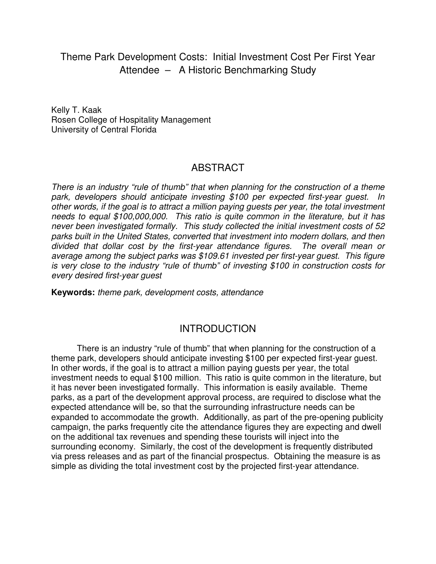Theme Park Development Costs: Initial Investment Cost Per First Year Attendee – A Historic Benchmarking Study

Kelly T. Kaak Rosen College of Hospitality Management University of Central Florida

## ABSTRACT

There is an industry "rule of thumb" that when planning for the construction of a theme park, developers should anticipate investing \$100 per expected first-year quest. In other words, if the goal is to attract a million paying guests per year, the total investment needs to equal \$100,000,000. This ratio is quite common in the literature, but it has never been investigated formally. This study collected the initial investment costs of 52 parks built in the United States, converted that investment into modern dollars, and then divided that dollar cost by the first-year attendance figures. The overall mean or average among the subject parks was \$109.61 invested per first-year guest. This figure is very close to the industry "rule of thumb" of investing \$100 in construction costs for every desired first-year guest

**Keywords:** theme park, development costs, attendance

## INTRODUCTION

There is an industry "rule of thumb" that when planning for the construction of a theme park, developers should anticipate investing \$100 per expected first-year guest. In other words, if the goal is to attract a million paying guests per year, the total investment needs to equal \$100 million. This ratio is quite common in the literature, but it has never been investigated formally. This information is easily available. Theme parks, as a part of the development approval process, are required to disclose what the expected attendance will be, so that the surrounding infrastructure needs can be expanded to accommodate the growth. Additionally, as part of the pre-opening publicity campaign, the parks frequently cite the attendance figures they are expecting and dwell on the additional tax revenues and spending these tourists will inject into the surrounding economy. Similarly, the cost of the development is frequently distributed via press releases and as part of the financial prospectus. Obtaining the measure is as simple as dividing the total investment cost by the projected first-year attendance.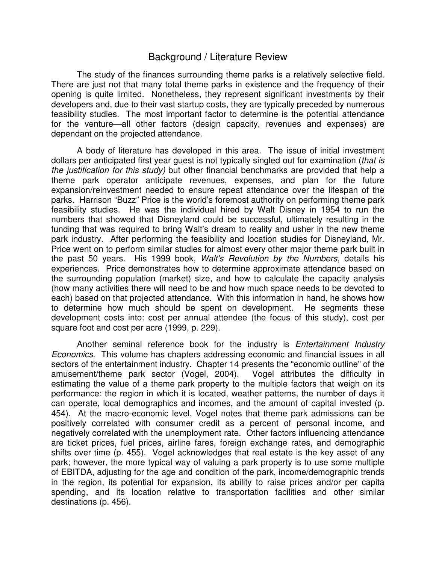### Background / Literature Review

The study of the finances surrounding theme parks is a relatively selective field. There are just not that many total theme parks in existence and the frequency of their opening is quite limited. Nonetheless, they represent significant investments by their developers and, due to their vast startup costs, they are typically preceded by numerous feasibility studies. The most important factor to determine is the potential attendance for the venture—all other factors (design capacity, revenues and expenses) are dependant on the projected attendance.

A body of literature has developed in this area. The issue of initial investment dollars per anticipated first year guest is not typically singled out for examination (that is the justification for this study) but other financial benchmarks are provided that help a theme park operator anticipate revenues, expenses, and plan for the future expansion/reinvestment needed to ensure repeat attendance over the lifespan of the parks. Harrison "Buzz" Price is the world's foremost authority on performing theme park feasibility studies. He was the individual hired by Walt Disney in 1954 to run the numbers that showed that Disneyland could be successful, ultimately resulting in the funding that was required to bring Walt's dream to reality and usher in the new theme park industry. After performing the feasibility and location studies for Disneyland, Mr. Price went on to perform similar studies for almost every other major theme park built in the past 50 years. His 1999 book, Walt's Revolution by the Numbers, details his experiences. Price demonstrates how to determine approximate attendance based on the surrounding population (market) size, and how to calculate the capacity analysis (how many activities there will need to be and how much space needs to be devoted to each) based on that projected attendance. With this information in hand, he shows how to determine how much should be spent on development. He segments these development costs into: cost per annual attendee (the focus of this study), cost per square foot and cost per acre (1999, p. 229).

Another seminal reference book for the industry is Entertainment Industry Economics. This volume has chapters addressing economic and financial issues in all sectors of the entertainment industry. Chapter 14 presents the "economic outline" of the amusement/theme park sector (Vogel, 2004). Vogel attributes the difficulty in estimating the value of a theme park property to the multiple factors that weigh on its performance: the region in which it is located, weather patterns, the number of days it can operate, local demographics and incomes, and the amount of capital invested (p. 454). At the macro-economic level, Vogel notes that theme park admissions can be positively correlated with consumer credit as a percent of personal income, and negatively correlated with the unemployment rate. Other factors influencing attendance are ticket prices, fuel prices, airline fares, foreign exchange rates, and demographic shifts over time (p. 455). Vogel acknowledges that real estate is the key asset of any park; however, the more typical way of valuing a park property is to use some multiple of EBITDA, adjusting for the age and condition of the park, income/demographic trends in the region, its potential for expansion, its ability to raise prices and/or per capita spending, and its location relative to transportation facilities and other similar destinations (p. 456).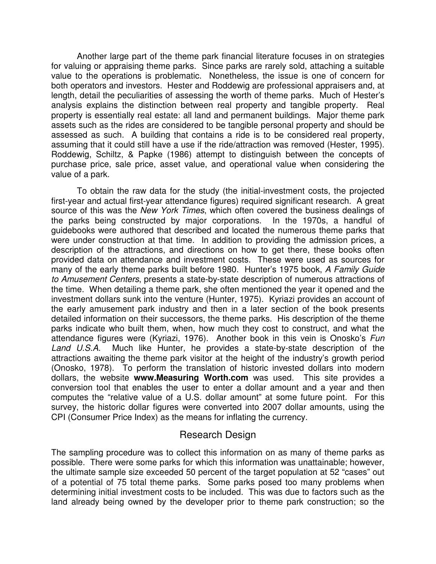Another large part of the theme park financial literature focuses in on strategies for valuing or appraising theme parks. Since parks are rarely sold, attaching a suitable value to the operations is problematic. Nonetheless, the issue is one of concern for both operators and investors. Hester and Roddewig are professional appraisers and, at length, detail the peculiarities of assessing the worth of theme parks. Much of Hester's analysis explains the distinction between real property and tangible property. Real property is essentially real estate: all land and permanent buildings. Major theme park assets such as the rides are considered to be tangible personal property and should be assessed as such. A building that contains a ride is to be considered real property, assuming that it could still have a use if the ride/attraction was removed (Hester, 1995). Roddewig, Schiltz, & Papke (1986) attempt to distinguish between the concepts of purchase price, sale price, asset value, and operational value when considering the value of a park.

To obtain the raw data for the study (the initial-investment costs, the projected first-year and actual first-year attendance figures) required significant research. A great source of this was the New York Times, which often covered the business dealings of the parks being constructed by major corporations. In the 1970s, a handful of guidebooks were authored that described and located the numerous theme parks that were under construction at that time. In addition to providing the admission prices, a description of the attractions, and directions on how to get there, these books often provided data on attendance and investment costs. These were used as sources for many of the early theme parks built before 1980. Hunter's 1975 book, A Family Guide to Amusement Centers, presents a state-by-state description of numerous attractions of the time. When detailing a theme park, she often mentioned the year it opened and the investment dollars sunk into the venture (Hunter, 1975). Kyriazi provides an account of the early amusement park industry and then in a later section of the book presents detailed information on their successors, the theme parks. His description of the theme parks indicate who built them, when, how much they cost to construct, and what the attendance figures were (Kyriazi, 1976). Another book in this vein is Onosko's Fun Land U.S.A. Much like Hunter, he provides a state-by-state description of the attractions awaiting the theme park visitor at the height of the industry's growth period (Onosko, 1978). To perform the translation of historic invested dollars into modern dollars, the website **www.Measuring Worth.com** was used. This site provides a conversion tool that enables the user to enter a dollar amount and a year and then computes the "relative value of a U.S. dollar amount" at some future point. For this survey, the historic dollar figures were converted into 2007 dollar amounts, using the CPI (Consumer Price Index) as the means for inflating the currency.

## Research Design

The sampling procedure was to collect this information on as many of theme parks as possible. There were some parks for which this information was unattainable; however, the ultimate sample size exceeded 50 percent of the target population at 52 "cases" out of a potential of 75 total theme parks. Some parks posed too many problems when determining initial investment costs to be included. This was due to factors such as the land already being owned by the developer prior to theme park construction; so the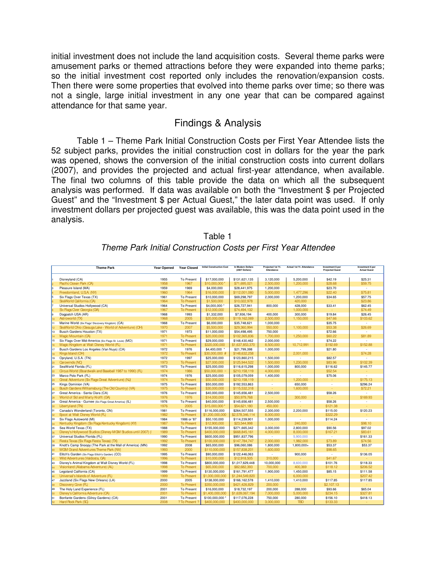initial investment does not include the land acquisition costs. Several theme parks were amusement parks or themed attractions before they were expanded into theme parks; so the initial investment cost reported only includes the renovation/expansion costs. Then there were some properties that evolved into theme parks over time; so there was not a single, large initial investment in any one year that can be compared against attendance for that same year.

#### Findings & Analysis

Table 1 – Theme Park Initial Construction Costs per First Year Attendee lists the 52 subject parks, provides the initial construction cost in dollars for the year the park was opened, shows the conversion of the initial construction costs into current dollars (2007), and provides the projected and actual first-year attendance, when available. The final two columns of this table provide the data on which all the subsequent analysis was performed. If data was available on both the "Investment \$ per Projected Guest" and the "Investment \$ per Actual Guest," the later data point was used. If only investment dollars per projected guest was available, this was the data point used in the analysis.

|                            | <b>Theme Park</b>                                            | <b>Year Opened</b> | <b>Year Closed</b> | <b>Initial Construction Cost</b> | In Modern Dollars<br>(2007 Dollars) | Projected 1st Yr.<br>Attendance | Actual 1st Yr. Attendance | Investment \$ per<br><b>Projected Guest</b> | Investment \$ per<br><b>Actual Guest</b> |
|----------------------------|--------------------------------------------------------------|--------------------|--------------------|----------------------------------|-------------------------------------|---------------------------------|---------------------------|---------------------------------------------|------------------------------------------|
|                            |                                                              |                    |                    |                                  |                                     |                                 |                           |                                             |                                          |
|                            | Disneyland (CA)                                              | 1955               | To Present         | \$17,000,000                     | \$131,621,135                       | 3,120,000                       | 5,200,000                 | \$42.19                                     | \$25.31                                  |
|                            | Pacific Ocean Park (CA)                                      | 1958               | 1967               | \$10,000,000                     | \$71,695,021                        | 2,500,000                       | 1,200,000                 | \$28.68                                     | \$59.75                                  |
|                            | Pleasure Island (MA)                                         | 1959               | 1969               | \$4,000,000                      | \$28,441,975                        | 1,200,000                       |                           | \$23.70                                     | $\sim$                                   |
|                            | Freedomland, U.S.A. (NY)                                     | 1960               | 1964               | \$16,000,000                     | \$112,001,080                       | 5,000,000                       | 1,477,296                 | \$22.40                                     | \$75.81                                  |
|                            | Six Flags Over Texas (TX)                                    | 1961               | To Present         | \$10,000,000                     | \$69,298,797                        | 2,000,000                       | 1,200,000                 | \$34.65                                     | \$57.75                                  |
|                            | SeaWorld California (CA)                                     | 1964               | <b>To Present</b>  | \$1,500,000                      | \$10,022,978                        |                                 | 420,000                   |                                             | \$23.86                                  |
|                            | Universal Studios Hollywood (CA)                             | 1964               | To Present         | \$4,000,000                      | \$26,727,941                        | 800,000                         | 428,000                   | \$33.41                                     | \$62.45                                  |
|                            | Sx Flags Over Georgia (GA)                                   | 1967               | <b>To Present</b>  | \$12,000,000                     | \$74,494,132                        |                                 | 1,000,000                 | $\sim$                                      | \$74.49                                  |
|                            | Dogpatch USA (AR)                                            | 1968               | 1993               | \$1,332,000                      | \$7,936,194                         | 400,000                         | 300,000                   | \$19.84                                     | \$26.45                                  |
| 10                         | Astroworld (TX)                                              | 1968               | 2005               | \$20,000,000                     | \$119,162,069                       | 2,500,000                       | 1,150,000                 | \$47.66                                     | \$103.62                                 |
| 11                         | Marine World (Six Flags' Discovery Kingdom) (CA)             | 1968               | To Present         | \$6,000,000                      | \$35,748,621                        | 1,000,000                       | i.                        | \$35.75                                     | $\sim$                                   |
| h2                         | SeaWorld Ohio (Geauga Lake - World of Adventure) (OH)        | 1970               | 2007               | \$5,500,000                      | \$29,360,994                        | 550,000                         | 1.100.000                 | \$53.38                                     | \$26.69                                  |
| 13                         | Busch Gardens Houston (TX)                                   | 1971               | 1973               | \$11,000,000                     | \$54,498,495                        | 750,000                         | $\mathcal{L}$             | \$72.66                                     | $\sim$                                   |
| h4                         | Magic Mountain (CA)                                          | 1971               | To Present         | \$20,000,000                     | \$102,365,836                       | 1.700.000                       | 1,250,000                 | \$60.22                                     | \$81.89                                  |
| 15                         | Six Flags Over Mid-America (Six Flags St. Louis) (MO)        | 1971               | <b>To Present</b>  | \$29,000,000                     | \$148,430,462                       | 2,000,000                       |                           | \$74.22                                     | $\sim$                                   |
| 16                         | Magic Kingdom at Walt Disney World (FL)                      | 1971               | To Present         | \$320,000,000                    | \$1,637,853,370                     | 8,500,000                       | 10,712,991                | \$192.69                                    | \$152.88                                 |
| 17                         | Busch Gardens Los Angeles (Van Nuys) (CA)                    | 1972               | 1976               | \$4,400,000 *                    | \$21,799,398                        | 1,000,000                       |                           | \$21.80                                     | $\sim$                                   |
| 18                         | Kings Island (OH)                                            | 1972               | To Present         | \$30,000,000 #                   | \$148,632,258                       |                                 | 2,001,000                 |                                             | \$74.28                                  |
| h9                         | Opryland, U.S.A. (TN)                                        | 1972               | 1997               | \$25,000,000                     | \$123,860,215                       | 1,500,000                       | $\sim$                    | \$82.57                                     | $\sim$                                   |
|                            | Carowinds (NC)                                               | 1973               | To Present         | \$27,000,000                     | \$125,944,522                       | 1,500,000                       | 1,230,000                 | \$83.96                                     | \$102.39                                 |
| 20<br>21<br>22<br>23       | SeaWorld Florida (FL)                                        | 1973               | <b>To Present</b>  | \$25,000,000                     | \$116,615,298                       | 1,000,000                       | 800,000                   | \$116.62                                    | \$145.77                                 |
|                            | Circus World (Boardwalk and Baseball 1987 to 1990) (FL)      | 1974               | 1986               | $$50,000,000$ ~                  | \$210,158,119                       | 4,000,000                       |                           | \$52.54                                     |                                          |
|                            | Marco Polo Park (FL)                                         | 1974               | 1976               | \$25,000,000                     | \$105,079,059                       | 1,400,000                       | $\sim$                    | \$75.06                                     | $\sim$                                   |
|                            | Great Adventure (Six Flags Great Adventure) (NJ)             | 1974               | <b>To Present</b>  | \$50,000,000                     | \$210,158,119                       |                                 | 1,200,000                 | $\sim$                                      | \$175.13                                 |
|                            | Kings Dominion (VA)                                          | 1975               | To Present         | \$50,000,000                     | \$192,553,863                       | $\sim$                          | 650,000                   | $\sim$                                      | \$296.24                                 |
| 24 25 26 27 28 29 30 31    | Busch Gardens Williamsburg (The Old Country) (VA)            | 1975               | To Present         | \$30,000,000                     | \$115,532,318                       |                                 | 1,600,000                 | $\sim$                                      | \$72.21                                  |
|                            | Great America - Santa Clara (CA)                             | 1976               | <b>To Present</b>  | \$40,000,000                     | \$145,656,481                       | 2.500.000                       | i.                        | \$58.26                                     | $\sim$                                   |
|                            | World of Sd and Marty Krofft (GA)                            | 1976               | 1976               | \$14,000,000                     | \$50,979,768                        |                                 | 300,000                   |                                             | \$169.93                                 |
|                            | Great America - Gurnee (Six Flags Great America) (IL)        | 1976               | <b>To Present</b>  | \$40,000,000                     | \$145,656,481                       | 2.500.000                       | $\mathbf{r}$              | \$58.26                                     | ÷.                                       |
|                            | Libertyland (TN)                                             | 1976               | 2005               | \$15,000,000                     | \$54,621,180                        | 450,000                         |                           | \$121.38                                    |                                          |
|                            | Canada's Wonderland (Toronto, ON)                            | 1981               | <b>To Present</b>  | \$116,000,000                    | \$264,507,555                       | 2,300,000                       | 2,200,000                 | \$115.00                                    | \$120.23                                 |
| 32<br>33                   | Epcot at Walt Disney World (FL)                              | 1982               | <b>To Present</b>  | \$1,200,000,000                  | \$2,578,346,114                     | 8,000,000                       |                           | \$322.29                                    |                                          |
|                            | Six Flags Autoworld (MI)                                     | 1984               | 1986 or '87        | \$50,100,000                     | \$114,239,901                       | 1,000,000                       | $\sim$                    | \$114.24                                    | $\sim$                                   |
|                            | Kentucky Kingdom (Sx Flags Kentucky Kingdom) (KY)            | 1987               | To Present         | \$12,900,000                     | \$23,544,998                        |                                 | 240,000                   | ÷.                                          | \$98.10                                  |
| 34<br>35<br>36<br>36<br>37 | Sea World Texas (TX)                                         | 1988               | <b>To Present</b>  | \$155,000,000                    | \$271,665,342                       | 3,000,000                       | 2,800,000                 | \$90.56                                     | \$97.02                                  |
|                            | Disney's Hollywood Studios (Disney-MGM Studios until 2007) ( | 1989               | <b>To Present</b>  | \$400,000,000                    | \$668,845,161                       | 4,000,000                       | 8,000,000                 | \$167.21                                    | \$83.61                                  |
|                            | Universal Studios Florida (FL)                               | 1990               | <b>To Present</b>  | \$600,000,000                    | \$951,837,796                       | $\mathbf{r}$                    | 5,900,000                 | $\sim$                                      | \$161.33                                 |
| 39                         | Fiesta Texas (Sx Flags Fiesta Texas) (TX)                    | 1992               | <b>To Present</b>  | \$100,000,000                    | \$147,784,747                       | 2,000,000                       | 1.982.000                 | \$73.89                                     | \$74.56                                  |
|                            | Knott's Camp Snoopy (The Park at the Mall of America) (MN)   | 1992               | 2008               | \$65,000,000                     | \$96,060,086                        | 1,800,000                       | 1,800,000+                | \$53.37                                     | \$53.37                                  |
| 40                         | MGM Grand Adventures Theme Park (NV)                         | 1993               | 2000               | \$110,000,000                    | \$157,838,201                       | 1,600,000                       |                           | \$98.65                                     |                                          |
| 41                         | Elitch's Garden (Six Flags Elitch's Garden) (CO)             | 1995               | <b>To Present</b>  | \$90,000,000                     | \$122,446,063                       | $\sim$                          | 900,000                   | $\sim$                                      | \$136.05                                 |
| 42                         | Wild Adventures (Valdosta, GA)                               | 1996               | <b>To Present</b>  | \$10,000,000                     | \$12,918,505                        | 310,000                         |                           | \$41.67                                     |                                          |
|                            | Disney's Animal Kingdom at Walt Disney World (FL)            | 1998               | <b>To Present</b>  | \$800,000,000                    | \$1,017,629,448                     | 10,000,000                      | 8,600,000                 | \$101.76                                    | \$118.33                                 |
| 43<br>44<br>45             | Visionland (Alabama Adventure) (AL)                          | 1998               | To Present         | \$65,000,000                     | \$82,682,393                        | 700,000                         | 400,369                   | \$118.12                                    | \$206.52                                 |
|                            | Legoland California (CA)                                     | 1999               | To Present         | \$130,000,000                    | \$161,791,477                       | 1,900,000                       | 1,450,000                 | \$85.15                                     | \$111.58                                 |
| 46<br>47                   | Universal's Islands of Adventure (FL)                        | 1999               | <b>To Present</b>  | \$1,000,000,000                  | \$1,244,549,820                     |                                 | 6,000,000                 |                                             | \$207.42                                 |
|                            | Jazzland (Six Flags New Orleans) (LA)                        | 2000               | 2005               | \$138,000,000                    | \$166,162,578                       | 1,410,000                       | 1,410,000                 | \$117.85                                    | \$117.85                                 |
| 48                         | Discovery Cove (FL)                                          | 2000               | To Present         | \$350,000,000                    | \$421,426,829                       | 200,000                         |                           | \$2,107.13                                  |                                          |
| 49<br>50                   | The Holy Land Experience (FL)                                | 2001               | To Present         | \$16,000,000                     | \$18,732,197                        | 200,000                         | 288,000                   | \$93.66                                     | \$65.04                                  |
|                            | Disney's California Adventure (CA)                           | 2001               | To Present         | \$1,400,000,000                  | \$1,639,067,194                     | 7,000,000                       | 5,000,000                 | \$234.15                                    | \$327.81                                 |
| 51                         | Bonfante Gardens (Gilroy Gardens) (CA)                       | 2001               | To Present         | \$100,000,000                    | \$117,076,228                       | 750,000                         | 280,000                   | \$156.10                                    | \$418.13                                 |
| 52                         | Hard Pock Park (SC)                                          | 2008               | ? To Present ?     | \$400,000,000                    | \$400,000,000                       | 3,000,000                       | <b>TBD</b>                | \$133.33                                    |                                          |

Table 1 Theme Park Initial Construction Costs per First Year Attendee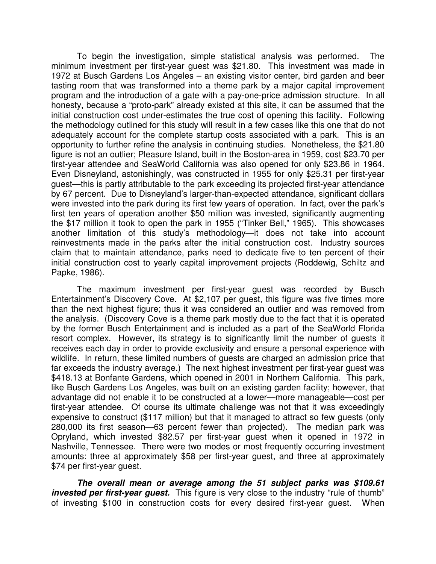To begin the investigation, simple statistical analysis was performed. The minimum investment per first-year guest was \$21.80. This investment was made in 1972 at Busch Gardens Los Angeles – an existing visitor center, bird garden and beer tasting room that was transformed into a theme park by a major capital improvement program and the introduction of a gate with a pay-one-price admission structure. In all honesty, because a "proto-park" already existed at this site, it can be assumed that the initial construction cost under-estimates the true cost of opening this facility. Following the methodology outlined for this study will result in a few cases like this one that do not adequately account for the complete startup costs associated with a park. This is an opportunity to further refine the analysis in continuing studies. Nonetheless, the \$21.80 figure is not an outlier; Pleasure Island, built in the Boston-area in 1959, cost \$23.70 per first-year attendee and SeaWorld California was also opened for only \$23.86 in 1964. Even Disneyland, astonishingly, was constructed in 1955 for only \$25.31 per first-year guest—this is partly attributable to the park exceeding its projected first-year attendance by 67 percent. Due to Disneyland's larger-than-expected attendance, significant dollars were invested into the park during its first few years of operation. In fact, over the park's first ten years of operation another \$50 million was invested, significantly augmenting the \$17 million it took to open the park in 1955 ("Tinker Bell," 1965). This showcases another limitation of this study's methodology—it does not take into account reinvestments made in the parks after the initial construction cost. Industry sources claim that to maintain attendance, parks need to dedicate five to ten percent of their initial construction cost to yearly capital improvement projects (Roddewig, Schiltz and Papke, 1986).

The maximum investment per first-year guest was recorded by Busch Entertainment's Discovery Cove. At \$2,107 per guest, this figure was five times more than the next highest figure; thus it was considered an outlier and was removed from the analysis. (Discovery Cove is a theme park mostly due to the fact that it is operated by the former Busch Entertainment and is included as a part of the SeaWorld Florida resort complex. However, its strategy is to significantly limit the number of guests it receives each day in order to provide exclusivity and ensure a personal experience with wildlife. In return, these limited numbers of guests are charged an admission price that far exceeds the industry average.) The next highest investment per first-year guest was \$418.13 at Bonfante Gardens, which opened in 2001 in Northern California. This park, like Busch Gardens Los Angeles, was built on an existing garden facility; however, that advantage did not enable it to be constructed at a lower—more manageable—cost per first-year attendee. Of course its ultimate challenge was not that it was exceedingly expensive to construct (\$117 million) but that it managed to attract so few guests (only 280,000 its first season—63 percent fewer than projected). The median park was Opryland, which invested \$82.57 per first-year guest when it opened in 1972 in Nashville, Tennessee. There were two modes or most frequently occurring investment amounts: three at approximately \$58 per first-year guest, and three at approximately \$74 per first-year guest.

**The overall mean or average among the 51 subject parks was \$109.61**  *invested per first-year guest.* This figure is very close to the industry "rule of thumb" of investing \$100 in construction costs for every desired first-year guest. When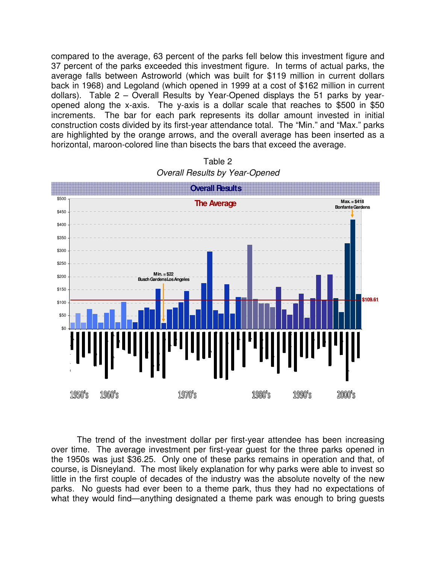compared to the average, 63 percent of the parks fell below this investment figure and 37 percent of the parks exceeded this investment figure. In terms of actual parks, the average falls between Astroworld (which was built for \$119 million in current dollars back in 1968) and Legoland (which opened in 1999 at a cost of \$162 million in current dollars). Table 2 – Overall Results by Year-Opened displays the 51 parks by yearopened along the x-axis. The y-axis is a dollar scale that reaches to \$500 in \$50 increments. The bar for each park represents its dollar amount invested in initial construction costs divided by its first-year attendance total. The "Min." and "Max." parks are highlighted by the orange arrows, and the overall average has been inserted as a horizontal, maroon-colored line than bisects the bars that exceed the average.



Table 2 Overall Results by Year-Opened

The trend of the investment dollar per first-year attendee has been increasing over time. The average investment per first-year guest for the three parks opened in the 1950s was just \$36.25. Only one of these parks remains in operation and that, of course, is Disneyland. The most likely explanation for why parks were able to invest so little in the first couple of decades of the industry was the absolute novelty of the new parks. No guests had ever been to a theme park, thus they had no expectations of what they would find—anything designated a theme park was enough to bring quests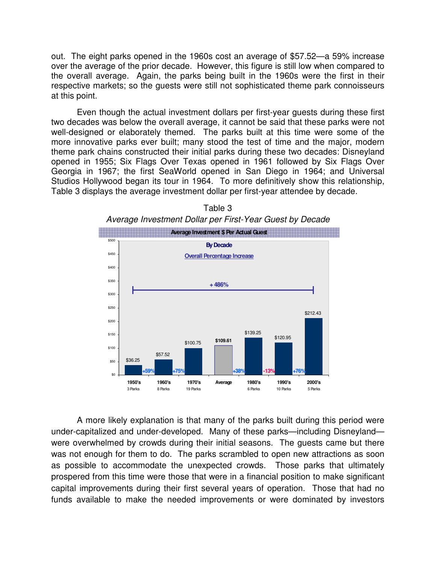out. The eight parks opened in the 1960s cost an average of \$57.52—a 59% increase over the average of the prior decade. However, this figure is still low when compared to the overall average. Again, the parks being built in the 1960s were the first in their respective markets; so the guests were still not sophisticated theme park connoisseurs at this point.

Even though the actual investment dollars per first-year guests during these first two decades was below the overall average, it cannot be said that these parks were not well-designed or elaborately themed. The parks built at this time were some of the more innovative parks ever built; many stood the test of time and the major, modern theme park chains constructed their initial parks during these two decades: Disneyland opened in 1955; Six Flags Over Texas opened in 1961 followed by Six Flags Over Georgia in 1967; the first SeaWorld opened in San Diego in 1964; and Universal Studios Hollywood began its tour in 1964. To more definitively show this relationship, Table 3 displays the average investment dollar per first-year attendee by decade.



Table 3 Average Investment Dollar per First-Year Guest by Decade

A more likely explanation is that many of the parks built during this period were under-capitalized and under-developed. Many of these parks—including Disneyland were overwhelmed by crowds during their initial seasons. The guests came but there was not enough for them to do. The parks scrambled to open new attractions as soon as possible to accommodate the unexpected crowds. Those parks that ultimately prospered from this time were those that were in a financial position to make significant capital improvements during their first several years of operation. Those that had no funds available to make the needed improvements or were dominated by investors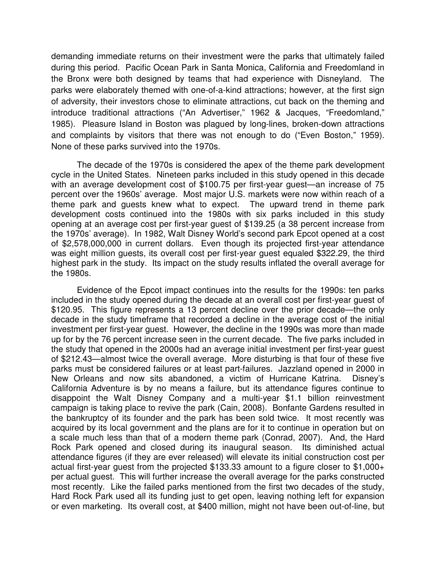demanding immediate returns on their investment were the parks that ultimately failed during this period. Pacific Ocean Park in Santa Monica, California and Freedomland in the Bronx were both designed by teams that had experience with Disneyland. The parks were elaborately themed with one-of-a-kind attractions; however, at the first sign of adversity, their investors chose to eliminate attractions, cut back on the theming and introduce traditional attractions ("An Advertiser," 1962 & Jacques, "Freedomland," 1985). Pleasure Island in Boston was plagued by long-lines, broken-down attractions and complaints by visitors that there was not enough to do ("Even Boston," 1959). None of these parks survived into the 1970s.

The decade of the 1970s is considered the apex of the theme park development cycle in the United States. Nineteen parks included in this study opened in this decade with an average development cost of \$100.75 per first-year guest—an increase of 75 percent over the 1960s' average. Most major U.S. markets were now within reach of a theme park and guests knew what to expect. The upward trend in theme park development costs continued into the 1980s with six parks included in this study opening at an average cost per first-year guest of \$139.25 (a 38 percent increase from the 1970s' average). In 1982, Walt Disney World's second park Epcot opened at a cost of \$2,578,000,000 in current dollars. Even though its projected first-year attendance was eight million guests, its overall cost per first-year guest equaled \$322.29, the third highest park in the study. Its impact on the study results inflated the overall average for the 1980s.

Evidence of the Epcot impact continues into the results for the 1990s: ten parks included in the study opened during the decade at an overall cost per first-year guest of \$120.95. This figure represents a 13 percent decline over the prior decade—the only decade in the study timeframe that recorded a decline in the average cost of the initial investment per first-year guest. However, the decline in the 1990s was more than made up for by the 76 percent increase seen in the current decade. The five parks included in the study that opened in the 2000s had an average initial investment per first-year guest of \$212.43—almost twice the overall average. More disturbing is that four of these five parks must be considered failures or at least part-failures. Jazzland opened in 2000 in New Orleans and now sits abandoned, a victim of Hurricane Katrina. Disney's California Adventure is by no means a failure, but its attendance figures continue to disappoint the Walt Disney Company and a multi-year \$1.1 billion reinvestment campaign is taking place to revive the park (Cain, 2008). Bonfante Gardens resulted in the bankruptcy of its founder and the park has been sold twice. It most recently was acquired by its local government and the plans are for it to continue in operation but on a scale much less than that of a modern theme park (Conrad, 2007). And, the Hard Rock Park opened and closed during its inaugural season. Its diminished actual attendance figures (if they are ever released) will elevate its initial construction cost per actual first-year guest from the projected \$133.33 amount to a figure closer to \$1,000+ per actual guest. This will further increase the overall average for the parks constructed most recently. Like the failed parks mentioned from the first two decades of the study, Hard Rock Park used all its funding just to get open, leaving nothing left for expansion or even marketing. Its overall cost, at \$400 million, might not have been out-of-line, but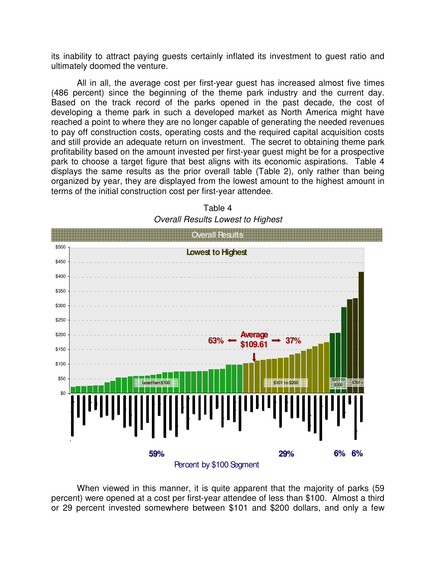its inability to attract paying guests certainly inflated its investment to guest ratio and ultimately doomed the venture.

All in all, the average cost per first-year guest has increased almost five times (486 percent) since the beginning of the theme park industry and the current day. Based on the track record of the parks opened in the past decade, the cost of developing a theme park in such a developed market as North America might have reached a point to where they are no longer capable of generating the needed revenues to pay off construction costs, operating costs and the required capital acquisition costs and still provide an adequate return on investment. The secret to obtaining theme park profitability based on the amount invested per first-year guest might be for a prospective park to choose a target figure that best aligns with its economic aspirations. Table 4 displays the same results as the prior overall table (Table 2), only rather than being organized by year, they are displayed from the lowest amount to the highest amount in terms of the initial construction cost per first-year attendee.



Table 4 Overall Results Lowest to Highest

When viewed in this manner, it is quite apparent that the majority of parks (59 percent) were opened at a cost per first-year attendee of less than \$100. Almost a third or 29 percent invested somewhere between \$101 and \$200 dollars, and only a few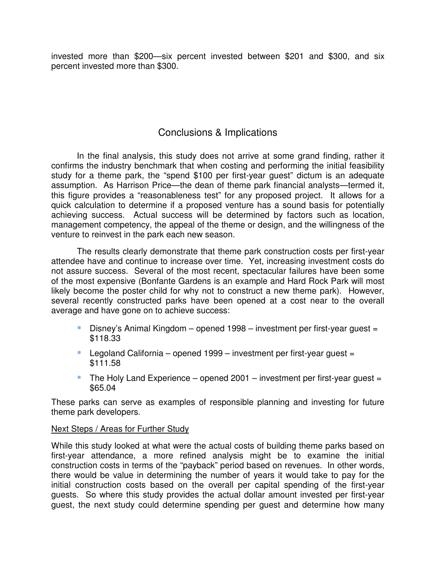invested more than \$200—six percent invested between \$201 and \$300, and six percent invested more than \$300.

# Conclusions & Implications

In the final analysis, this study does not arrive at some grand finding, rather it confirms the industry benchmark that when costing and performing the initial feasibility study for a theme park, the "spend \$100 per first-year guest" dictum is an adequate assumption. As Harrison Price—the dean of theme park financial analysts—termed it, this figure provides a "reasonableness test" for any proposed project. It allows for a quick calculation to determine if a proposed venture has a sound basis for potentially achieving success. Actual success will be determined by factors such as location, management competency, the appeal of the theme or design, and the willingness of the venture to reinvest in the park each new season.

The results clearly demonstrate that theme park construction costs per first-year attendee have and continue to increase over time. Yet, increasing investment costs do not assure success. Several of the most recent, spectacular failures have been some of the most expensive (Bonfante Gardens is an example and Hard Rock Park will most likely become the poster child for why not to construct a new theme park). However, several recently constructed parks have been opened at a cost near to the overall average and have gone on to achieve success:

- Disney's Animal Kingdom opened 1998 investment per first-year guest = \$118.33
- Legoland California opened 1999 investment per first-year quest = \$111.58
- The Holy Land Experience opened  $2001$  investment per first-year guest = \$65.04

These parks can serve as examples of responsible planning and investing for future theme park developers.

#### Next Steps / Areas for Further Study

While this study looked at what were the actual costs of building theme parks based on first-year attendance, a more refined analysis might be to examine the initial construction costs in terms of the "payback" period based on revenues. In other words, there would be value in determining the number of years it would take to pay for the initial construction costs based on the overall per capital spending of the first-year guests. So where this study provides the actual dollar amount invested per first-year guest, the next study could determine spending per guest and determine how many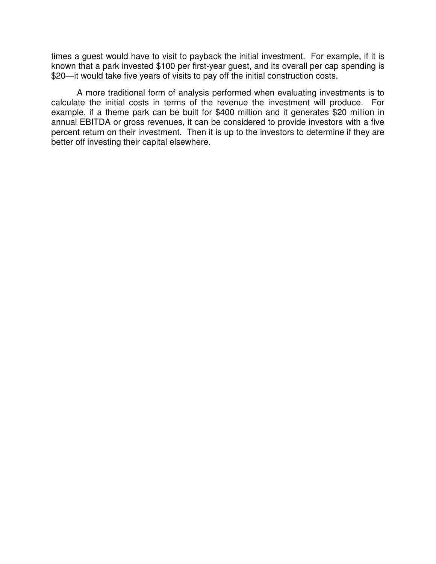times a guest would have to visit to payback the initial investment. For example, if it is known that a park invested \$100 per first-year guest, and its overall per cap spending is \$20—it would take five years of visits to pay off the initial construction costs.

A more traditional form of analysis performed when evaluating investments is to calculate the initial costs in terms of the revenue the investment will produce. For example, if a theme park can be built for \$400 million and it generates \$20 million in annual EBITDA or gross revenues, it can be considered to provide investors with a five percent return on their investment. Then it is up to the investors to determine if they are better off investing their capital elsewhere.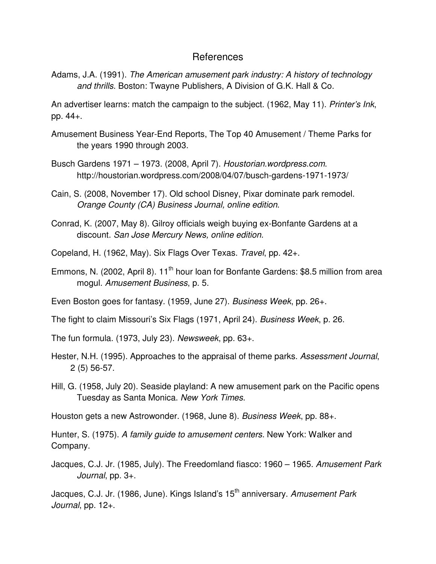#### References

Adams, J.A. (1991). The American amusement park industry: A history of technology and thrills. Boston: Twayne Publishers, A Division of G.K. Hall & Co.

An advertiser learns: match the campaign to the subject. (1962, May 11). Printer's Ink, pp. 44+.

- Amusement Business Year-End Reports, The Top 40 Amusement / Theme Parks for the years 1990 through 2003.
- Busch Gardens 1971 1973. (2008, April 7). Houstorian.wordpress.com. http://houstorian.wordpress.com/2008/04/07/busch-gardens-1971-1973/
- Cain, S. (2008, November 17). Old school Disney, Pixar dominate park remodel. Orange County (CA) Business Journal, online edition.
- Conrad, K. (2007, May 8). Gilroy officials weigh buying ex-Bonfante Gardens at a discount. San Jose Mercury News, online edition.
- Copeland, H. (1962, May). Six Flags Over Texas. Travel, pp. 42+.
- Emmons, N. (2002, April 8). 11<sup>th</sup> hour loan for Bonfante Gardens: \$8.5 million from area mogul. Amusement Business, p. 5.

Even Boston goes for fantasy. (1959, June 27). Business Week, pp. 26+.

The fight to claim Missouri's Six Flags (1971, April 24). Business Week, p. 26.

The fun formula. (1973, July 23). Newsweek, pp. 63+.

- Hester, N.H. (1995). Approaches to the appraisal of theme parks. Assessment Journal, 2 (5) 56-57.
- Hill, G. (1958, July 20). Seaside playland: A new amusement park on the Pacific opens Tuesday as Santa Monica. New York Times.

Houston gets a new Astrowonder. (1968, June 8). Business Week, pp. 88+.

Hunter, S. (1975). A family guide to amusement centers. New York: Walker and Company.

Jacques, C.J. Jr. (1985, July). The Freedomland fiasco: 1960 – 1965. Amusement Park Journal, pp. 3+.

Jacques, C.J. Jr. (1986, June). Kings Island's 15<sup>th</sup> anniversary. Amusement Park Journal, pp. 12+.